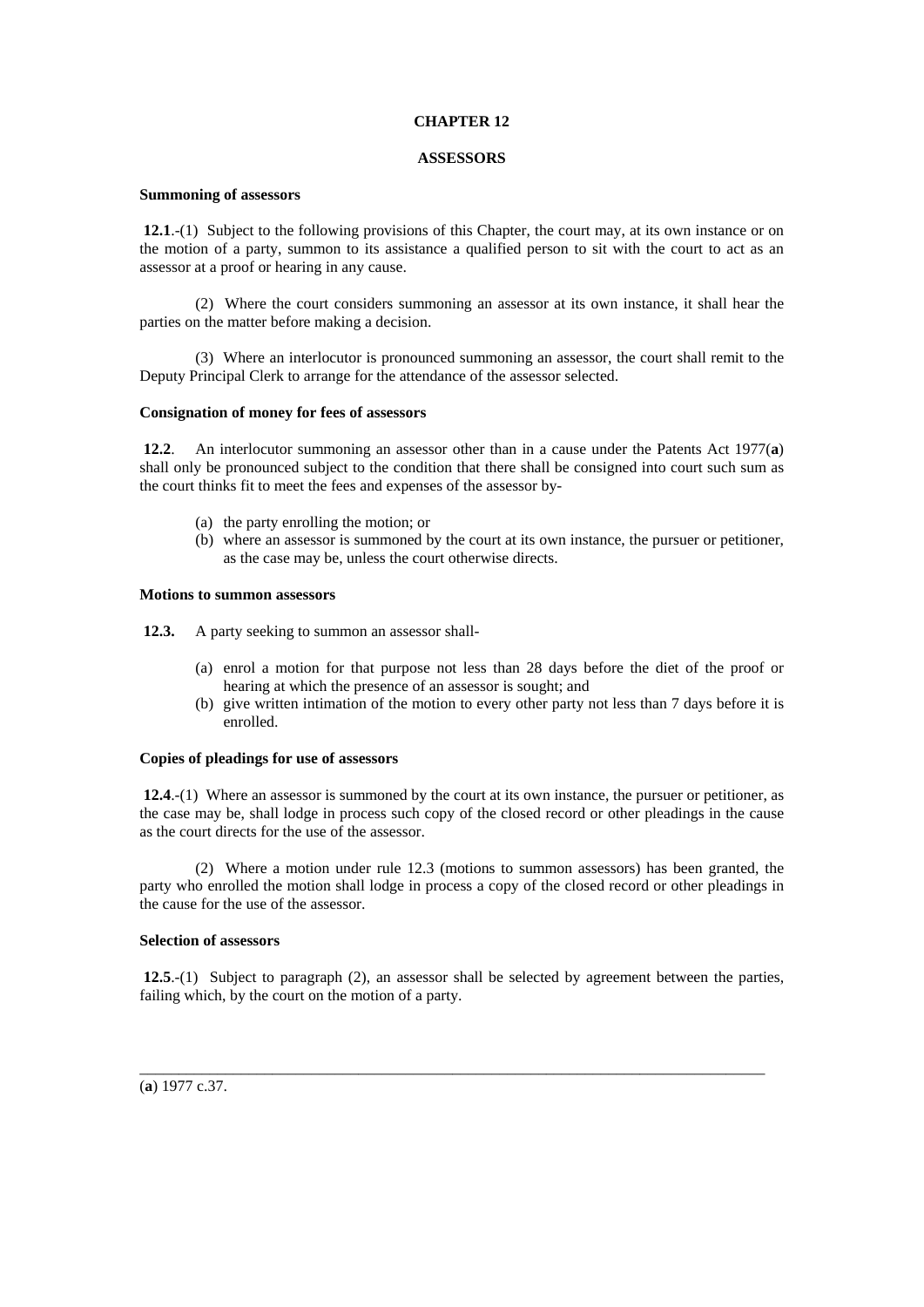# **CHAPTER 12**

### **ASSESSORS**

# **Summoning of assessors**

**12.1**.-(1) Subject to the following provisions of this Chapter, the court may, at its own instance or on the motion of a party, summon to its assistance a qualified person to sit with the court to act as an assessor at a proof or hearing in any cause.

 (2) Where the court considers summoning an assessor at its own instance, it shall hear the parties on the matter before making a decision.

 (3) Where an interlocutor is pronounced summoning an assessor, the court shall remit to the Deputy Principal Clerk to arrange for the attendance of the assessor selected.

#### **Consignation of money for fees of assessors**

**12.2**. An interlocutor summoning an assessor other than in a cause under the Patents Act 1977(**a**) shall only be pronounced subject to the condition that there shall be consigned into court such sum as the court thinks fit to meet the fees and expenses of the assessor by-

- (a) the party enrolling the motion; or
- (b) where an assessor is summoned by the court at its own instance, the pursuer or petitioner, as the case may be, unless the court otherwise directs.

#### **Motions to summon assessors**

**12.3.** A party seeking to summon an assessor shall-

- (a) enrol a motion for that purpose not less than 28 days before the diet of the proof or hearing at which the presence of an assessor is sought; and
- (b) give written intimation of the motion to every other party not less than 7 days before it is enrolled.

## **Copies of pleadings for use of assessors**

 **12.4**.-(1) Where an assessor is summoned by the court at its own instance, the pursuer or petitioner, as the case may be, shall lodge in process such copy of the closed record or other pleadings in the cause as the court directs for the use of the assessor.

 (2) Where a motion under rule 12.3 (motions to summon assessors) has been granted, the party who enrolled the motion shall lodge in process a copy of the closed record or other pleadings in the cause for the use of the assessor.

## **Selection of assessors**

 **12.5**.-(1) Subject to paragraph (2), an assessor shall be selected by agreement between the parties, failing which, by the court on the motion of a party.

\_\_\_\_\_\_\_\_\_\_\_\_\_\_\_\_\_\_\_\_\_\_\_\_\_\_\_\_\_\_\_\_\_\_\_\_\_\_\_\_\_\_\_\_\_\_\_\_\_\_\_\_\_\_\_\_\_\_\_\_\_\_\_\_\_\_\_\_\_\_\_\_\_\_\_\_\_\_\_\_